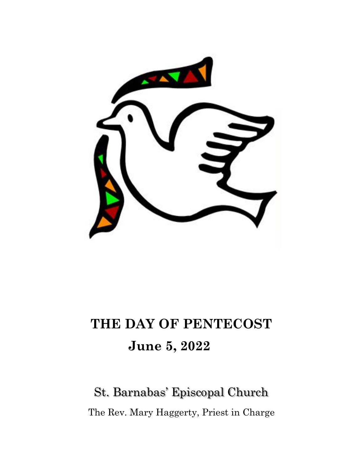

# **THE DAY OF PENTECOST June 5, 2022**

# St. Barnabas' Episcopal Church The Rev. Mary Haggerty, Priest in Charge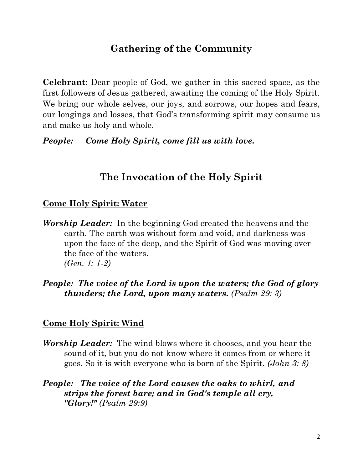# **Gathering of the Community**

**Celebrant**: Dear people of God, we gather in this sacred space, as the first followers of Jesus gathered, awaiting the coming of the Holy Spirit. We bring our whole selves, our joys, and sorrows, our hopes and fears, our longings and losses, that God's transforming spirit may consume us and make us holy and whole.

*People: Come Holy Spirit, come fill us with love.*

# **The Invocation of the Holy Spirit**

#### **Come Holy Spirit: Water**

- *Worship Leader:* In the beginning God created the heavens and the earth. The earth was without form and void, and darkness was upon the face of the deep, and the Spirit of God was moving over the face of the waters. *(Gen. 1: 1-2)*
- *People: The voice of the Lord is upon the waters; the God of glory thunders; the Lord, upon many waters. (Psalm 29: 3)*

#### **Come Holy Spirit: Wind**

- *Worship Leader:* The wind blows where it chooses, and you hear the sound of it, but you do not know where it comes from or where it goes. So it is with everyone who is born of the Spirit. *(John 3: 8)*
- *People: The voice of the Lord causes the oaks to whirl, and strips the forest bare; and in God's temple all cry, "Glory!" (Psalm 29:9)*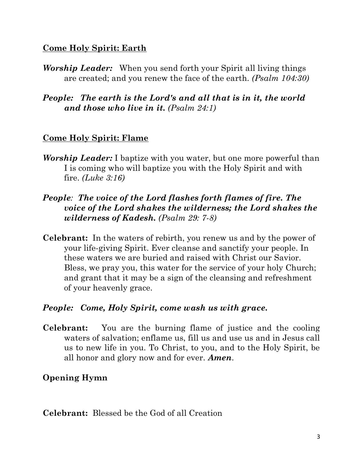#### **Come Holy Spirit: Earth**

- *Worship Leader:* When you send forth your Spirit all living things are created; and you renew the face of the earth. *(Psalm 104:30)*
- *People: The earth is the Lord's and all that is in it, the world and those who live in it. (Psalm 24:1)*

#### **Come Holy Spirit: Flame**

- *Worship Leader:* I baptize with you water, but one more powerful than I is coming who will baptize you with the Holy Spirit and with fire. *(Luke 3:16)*
- *People: The voice of the Lord flashes forth flames of fire. The voice of the Lord shakes the wilderness; the Lord shakes the wilderness of Kadesh. (Psalm 29: 7-8)*
- **Celebrant:**In the waters of rebirth, you renew us and by the power of your life-giving Spirit. Ever cleanse and sanctify your people. In these waters we are buried and raised with Christ our Savior. Bless, we pray you, this water for the service of your holy Church; and grant that it may be a sign of the cleansing and refreshment of your heavenly grace.

#### *People: Come, Holy Spirit, come wash us with grace.*

**Celebrant:**You are the burning flame of justice and the cooling waters of salvation; enflame us, fill us and use us and in Jesus call us to new life in you. To Christ, to you, and to the Holy Spirit, be all honor and glory now and for ever. *Amen*.

#### **Opening Hymn**

**Celebrant:** Blessed be the God of all Creation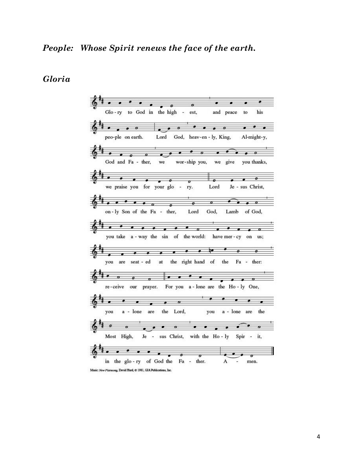*Gloria*



Music: New Plainsong, David Hurd, @ 1981, GIA Publications, Inc.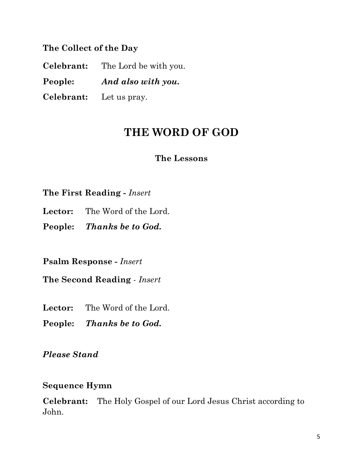**The Collect of the Day**

**Celebrant:** The Lord be with you. **People:** *And also with you.* **Celebrant:** Let us pray.

# **THE WORD OF GOD**

#### **The Lessons**

**The First Reading -** *Insert*

- **Lector:** The Word of the Lord.
- **People:** *Thanks be to God.*

**Psalm Response -** *Insert*

**The Second Reading** - *Insert* 

**Lector:** The Word of the Lord.

**People:** *Thanks be to God.*

*Please Stand*

#### **Sequence Hymn**

**Celebrant:** The Holy Gospel of our Lord Jesus Christ according to John.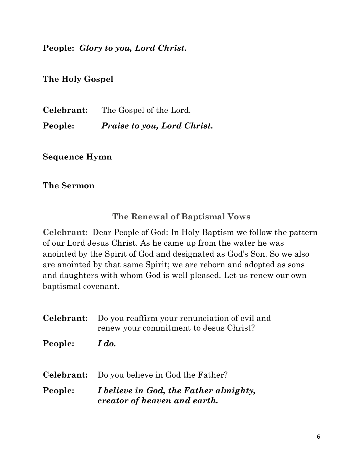**People:** *Glory to you, Lord Christ.*

**The Holy Gospel**

**Celebrant:** The Gospel of the Lord. **People:** *Praise to you, Lord Christ.*

**Sequence Hymn**

**The Sermon**

**The Renewal of Baptismal Vows**

**Celebrant:** Dear People of God: In Holy Baptism we follow the pattern of our Lord Jesus Christ. As he came up from the water he was anointed by the Spirit of God and designated as God's Son. So we also are anointed by that same Spirit; we are reborn and adopted as sons and daughters with whom God is well pleased. Let us renew our own baptismal covenant.

**Celebrant:** Do you reaffirm your renunciation of evil and renew your commitment to Jesus Christ? **People:** *I do.* **Celebrant:** Do you believe in God the Father? **People:** *I believe in God, the Father almighty, creator of heaven and earth.*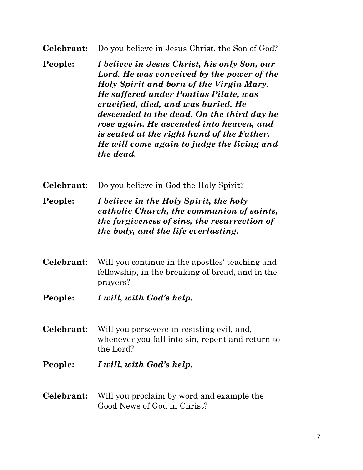#### **Celebrant:** Do you believe in Jesus Christ, the Son of God?

- **People:** *I believe in Jesus Christ, his only Son, our Lord. He was conceived by the power of the Holy Spirit and born of the Virgin Mary. He suffered under Pontius Pilate, was crucified, died, and was buried. He descended to the dead. On the third day he rose again. He ascended into heaven, and is seated at the right hand of the Father. He will come again to judge the living and the dead.*
- **Celebrant:** Do you believe in God the Holy Spirit?
- **People:** *I believe in the Holy Spirit, the holy catholic Church, the communion of saints, the forgiveness of sins, the resurrection of the body, and the life everlasting***.**
- **Celebrant:** Will you continue in the apostles' teaching and fellowship, in the breaking of bread, and in the prayers?
- **People:** *I will, with God's help.*
- **Celebrant:** Will you persevere in resisting evil, and, whenever you fall into sin, repent and return to the Lord?
- **People:** *I will, with God's help.*
- **Celebrant:** Will you proclaim by word and example the Good News of God in Christ?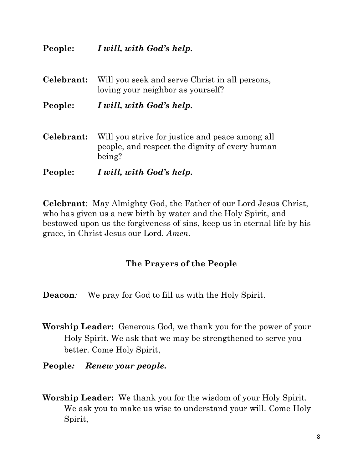#### **People:** *I will, with God's help.*

| Celebrant: | Will you seek and serve Christ in all persons,<br>loving your neighbor as yourself?                         |
|------------|-------------------------------------------------------------------------------------------------------------|
| People:    | I will, with God's help.                                                                                    |
| Celebrant: | Will you strive for justice and peace among all<br>people, and respect the dignity of every human<br>being? |
| People:    | I will, with God's help.                                                                                    |

**Celebrant**:May Almighty God, the Father of our Lord Jesus Christ, who has given us a new birth by water and the Holy Spirit, and bestowed upon us the forgiveness of sins, keep us in eternal life by his grace, in Christ Jesus our Lord. *Amen.*

#### **The Prayers of the People**

**Deacon***:* We pray for God to fill us with the Holy Spirit.

- **Worship Leader:** Generous God, we thank you for the power of your Holy Spirit. We ask that we may be strengthened to serve you better. Come Holy Spirit,
- **People***: Renew your people.*
- **Worship Leader:**We thank you for the wisdom of your Holy Spirit. We ask you to make us wise to understand your will. Come Holy Spirit,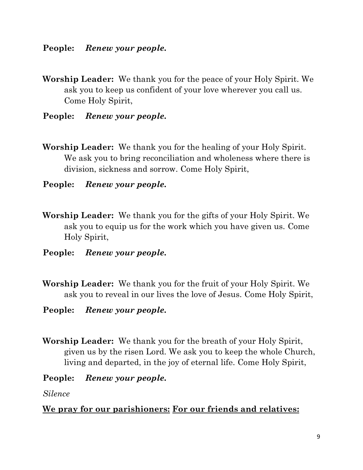**People:** *Renew your people.* 

- **Worship Leader:**We thank you for the peace of your Holy Spirit. We ask you to keep us confident of your love wherever you call us. Come Holy Spirit,
- **People:** *Renew your people.*
- **Worship Leader:**We thank you for the healing of your Holy Spirit. We ask you to bring reconciliation and wholeness where there is division, sickness and sorrow. Come Holy Spirit,
- **People:** *Renew your people.*
- **Worship Leader:**We thank you for the gifts of your Holy Spirit. We ask you to equip us for the work which you have given us. Come Holy Spirit,
- **People:** *Renew your people.*
- **Worship Leader:**We thank you for the fruit of your Holy Spirit. We ask you to reveal in our lives the love of Jesus. Come Holy Spirit,
- **People:** *Renew your people.*
- **Worship Leader:**We thank you for the breath of your Holy Spirit, given us by the risen Lord. We ask you to keep the whole Church, living and departed, in the joy of eternal life. Come Holy Spirit,
- **People:** *Renew your people.*

*Silence*

#### **We pray for our parishioners: For our friends and relatives:**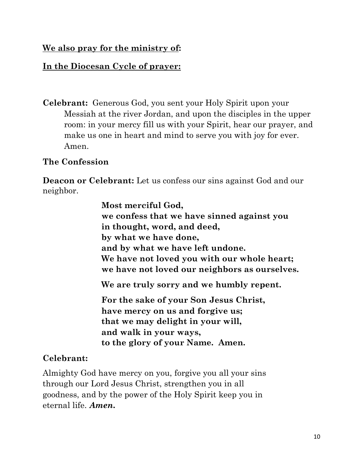#### **We also pray for the ministry of:**

#### **In the Diocesan Cycle of prayer:**

**Celebrant:** Generous God, you sent your Holy Spirit upon your Messiah at the river Jordan, and upon the disciples in the upper room: in your mercy fill us with your Spirit, hear our prayer, and make us one in heart and mind to serve you with joy for ever. Amen.

#### **The Confession**

**Deacon or Celebrant:** Let us confess our sins against God and our neighbor.

> **Most merciful God, we confess that we have sinned against you in thought, word, and deed, by what we have done, and by what we have left undone. We have not loved you with our whole heart; we have not loved our neighbors as ourselves. We are truly sorry and we humbly repent.**

**For the sake of your Son Jesus Christ, have mercy on us and forgive us; that we may delight in your will, and walk in your ways, to the glory of your Name. Amen.**

### **Celebrant:**

Almighty God have mercy on you, forgive you all your sins through our Lord Jesus Christ, strengthen you in all goodness, and by the power of the Holy Spirit keep you in eternal life. *Amen.*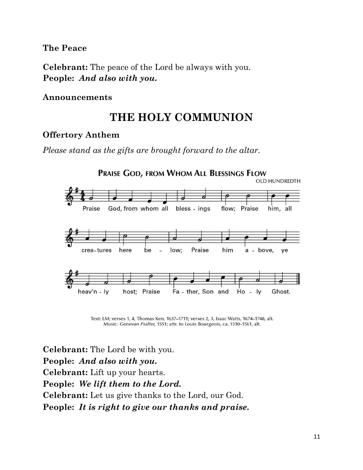**The Peace**

**Celebrant:** The peace of the Lord be always with you. **People:** *And also with you.*

#### **Announcements**

# **THE HOLY COMMUNION**

#### **Offertory Anthem**

*Please stand as the gifts are brought forward to the altar.*



Text: LM; verses 1, 4, Thomas Ken, 1637-1711; verses 2, 3, Isaac Watts, 1674-1748, alt. Music: Genevan Psalter, 1551; attr. to Louis Bourgeois, ca. 1510-1561, alt.

**Celebrant:** The Lord be with you. **People:** *And also with you.* **Celebrant:** Lift up your hearts. **People:** *We lift them to the Lord.* **Celebrant:** Let us give thanks to the Lord, our God. **People:** *It is right to give our thanks and praise.*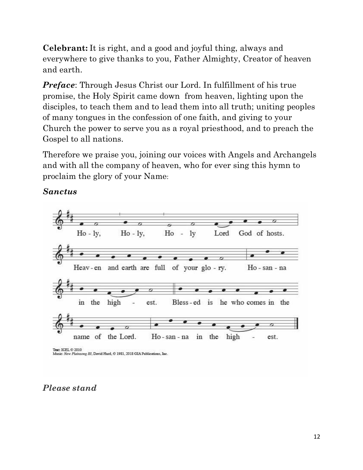**Celebrant:** It is right, and a good and joyful thing, always and everywhere to give thanks to you, Father Almighty, Creator of heaven and earth.

*Preface:* Through Jesus Christ our Lord. In fulfillment of his true promise, the Holy Spirit came down from heaven, lighting upon the disciples, to teach them and to lead them into all truth; uniting peoples of many tongues in the confession of one faith, and giving to your Church the power to serve you as a royal priesthood, and to preach the Gospel to all nations.

Therefore we praise you, joining our voices with Angels and Archangels and with all the company of heaven, who for ever sing this hymn to proclaim the glory of your Name:

#### *Sanctus*



### *Please stand*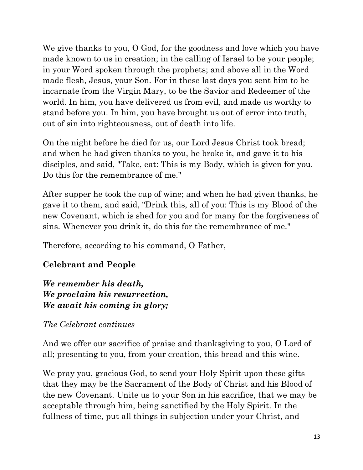We give thanks to you, O God, for the goodness and love which you have made known to us in creation; in the calling of Israel to be your people; in your Word spoken through the prophets; and above all in the Word made flesh, Jesus, your Son. For in these last days you sent him to be incarnate from the Virgin Mary, to be the Savior and Redeemer of the world. In him, you have delivered us from evil, and made us worthy to stand before you. In him, you have brought us out of error into truth, out of sin into righteousness, out of death into life.

On the night before he died for us, our Lord Jesus Christ took bread; and when he had given thanks to you, he broke it, and gave it to his disciples, and said, "Take, eat: This is my Body, which is given for you. Do this for the remembrance of me."

After supper he took the cup of wine; and when he had given thanks, he gave it to them, and said, "Drink this, all of you: This is my Blood of the new Covenant, which is shed for you and for many for the forgiveness of sins. Whenever you drink it, do this for the remembrance of me."

Therefore, according to his command, O Father,

# **Celebrant and People**

*We remember his death, We proclaim his resurrection, We await his coming in glory;*

*The Celebrant continues*

And we offer our sacrifice of praise and thanksgiving to you, O Lord of all; presenting to you, from your creation, this bread and this wine.

We pray you, gracious God, to send your Holy Spirit upon these gifts that they may be the Sacrament of the Body of Christ and his Blood of the new Covenant. Unite us to your Son in his sacrifice, that we may be acceptable through him, being sanctified by the Holy Spirit. In the fullness of time, put all things in subjection under your Christ, and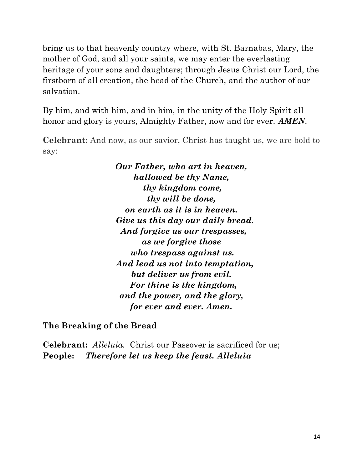bring us to that heavenly country where, with St. Barnabas, Mary, the mother of God, and all your saints, we may enter the everlasting heritage of your sons and daughters; through Jesus Christ our Lord, the firstborn of all creation, the head of the Church, and the author of our salvation.

By him, and with him, and in him, in the unity of the Holy Spirit all honor and glory is yours, Almighty Father, now and for ever. *AMEN.*

**Celebrant:** And now, as our savior, Christ has taught us, we are bold to say:

> *Our Father, who art in heaven, hallowed be thy Name, thy kingdom come, thy will be done, on earth as it is in heaven. Give us this day our daily bread. And forgive us our trespasses, as we forgive those who trespass against us. And lead us not into temptation, but deliver us from evil. For thine is the kingdom, and the power, and the glory, for ever and ever. Amen.*

**The Breaking of the Bread**

**Celebrant:** *Alleluia.* Christ our Passover is sacrificed for us; **People:** *Therefore let us keep the feast. Alleluia*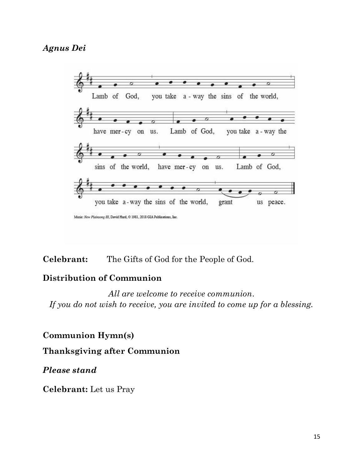#### *Agnus Dei*



**Celebrant:** The Gifts of God for the People of God.

#### **Distribution of Communion**

*All are welcome to receive communion*. *If you do not wish to receive, you are invited to come up for a blessing.*

**Communion Hymn(s)** 

**Thanksgiving after Communion** 

*Please stand*

**Celebrant:** Let us Pray